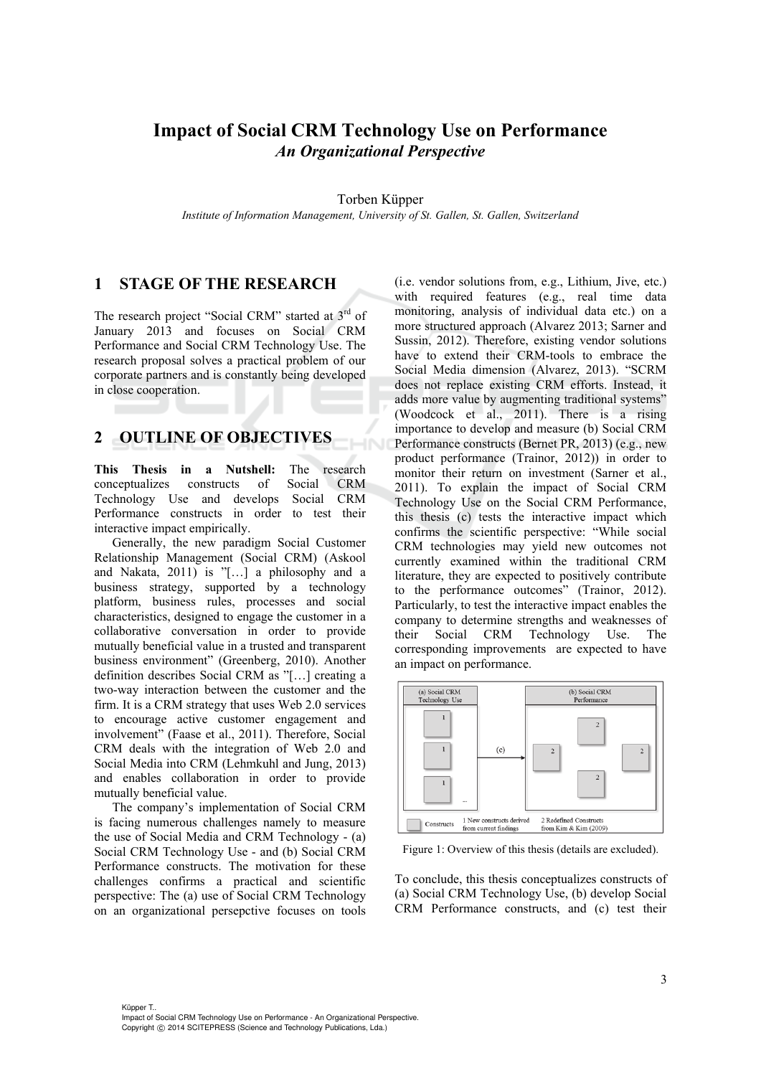## **Impact of Social CRM Technology Use on Performance**  *An Organizational Perspective*

Torben Küpper

*Institute of Information Management, University of St. Gallen, St. Gallen, Switzerland* 

#### **1 STAGE OF THE RESEARCH**

The research project "Social CRM" started at  $3<sup>rd</sup>$  of January 2013 and focuses on Social CRM Performance and Social CRM Technology Use. The research proposal solves a practical problem of our corporate partners and is constantly being developed in close cooperation.

#### **2 OUTLINE OF OBJECTIVES**

**This Thesis in a Nutshell:** The research conceptualizes constructs of Social CRM Technology Use and develops Social CRM Performance constructs in order to test their interactive impact empirically.

Generally, the new paradigm Social Customer Relationship Management (Social CRM) (Askool and Nakata, 2011) is "[…] a philosophy and a business strategy, supported by a technology platform, business rules, processes and social characteristics, designed to engage the customer in a collaborative conversation in order to provide mutually beneficial value in a trusted and transparent business environment" (Greenberg, 2010). Another definition describes Social CRM as "[…] creating a two-way interaction between the customer and the firm. It is a CRM strategy that uses Web 2.0 services to encourage active customer engagement and involvement" (Faase et al., 2011). Therefore, Social CRM deals with the integration of Web 2.0 and Social Media into CRM (Lehmkuhl and Jung, 2013) and enables collaboration in order to provide mutually beneficial value.

The company's implementation of Social CRM is facing numerous challenges namely to measure the use of Social Media and CRM Technology - (a) Social CRM Technology Use - and (b) Social CRM Performance constructs. The motivation for these challenges confirms a practical and scientific perspective: The (a) use of Social CRM Technology on an organizational persepctive focuses on tools

(i.e. vendor solutions from, e.g., Lithium, Jive, etc.) with required features (e.g., real time data monitoring, analysis of individual data etc.) on a more structured approach (Alvarez 2013; Sarner and Sussin, 2012). Therefore, existing vendor solutions have to extend their CRM-tools to embrace the Social Media dimension (Alvarez, 2013). "SCRM does not replace existing CRM efforts. Instead, it adds more value by augmenting traditional systems" (Woodcock et al., 2011). There is a rising importance to develop and measure (b) Social CRM Performance constructs (Bernet PR, 2013) (e.g., new product performance (Trainor, 2012)) in order to monitor their return on investment (Sarner et al., 2011). To explain the impact of Social CRM Technology Use on the Social CRM Performance, this thesis (c) tests the interactive impact which confirms the scientific perspective: "While social CRM technologies may yield new outcomes not currently examined within the traditional CRM literature, they are expected to positively contribute to the performance outcomes" (Trainor, 2012). Particularly, to test the interactive impact enables the company to determine strengths and weaknesses of their Social CRM Technology Use. The corresponding improvements are expected to have an impact on performance.



Figure 1: Overview of this thesis (details are excluded).

To conclude, this thesis conceptualizes constructs of (a) Social CRM Technology Use, (b) develop Social CRM Performance constructs, and (c) test their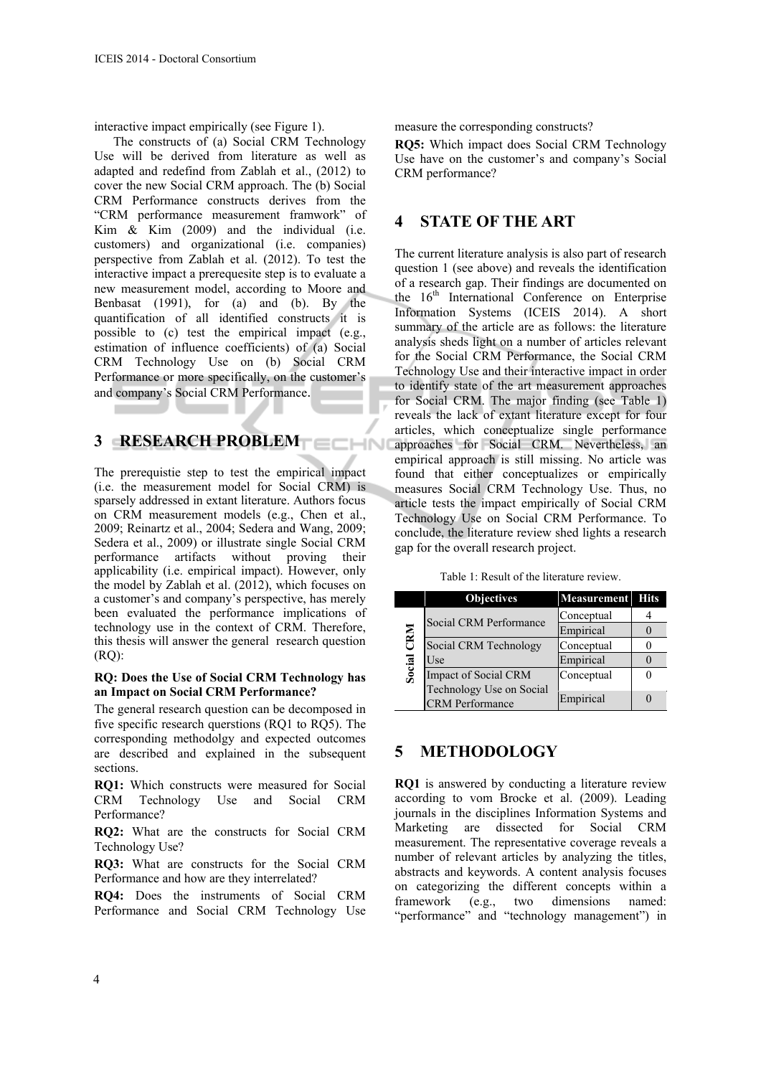interactive impact empirically (see Figure 1).

The constructs of (a) Social CRM Technology Use will be derived from literature as well as adapted and redefind from Zablah et al., (2012) to cover the new Social CRM approach. The (b) Social CRM Performance constructs derives from the "CRM performance measurement framwork" of Kim & Kim (2009) and the individual (i.e. customers) and organizational (i.e. companies) perspective from Zablah et al. (2012). To test the interactive impact a prerequesite step is to evaluate a new measurement model, according to Moore and Benbasat (1991), for (a) and (b). By the quantification of all identified constructs it is possible to (c) test the empirical impact (e.g., estimation of influence coefficients) of (a) Social CRM Technology Use on (b) Social CRM Performance or more specifically, on the customer's and company's Social CRM Performance.

#### **3 RESEARCH PROBLEM**

The prerequistie step to test the empirical impact (i.e. the measurement model for Social CRM) is sparsely addressed in extant literature. Authors focus on CRM measurement models (e.g., Chen et al., 2009; Reinartz et al., 2004; Sedera and Wang, 2009; Sedera et al., 2009) or illustrate single Social CRM performance artifacts without proving their applicability (i.e. empirical impact). However, only the model by Zablah et al. (2012), which focuses on a customer's and company's perspective, has merely been evaluated the performance implications of technology use in the context of CRM. Therefore, this thesis will answer the general research question  $(RO)$ :

#### **RQ: Does the Use of Social CRM Technology has an Impact on Social CRM Performance?**

The general research question can be decomposed in five specific research querstions (RQ1 to RQ5). The corresponding methodolgy and expected outcomes are described and explained in the subsequent sections.

**RQ1:** Which constructs were measured for Social CRM Technology Use and Social CRM Performance?

**RQ2:** What are the constructs for Social CRM Technology Use?

**RQ3:** What are constructs for the Social CRM Performance and how are they interrelated?

**RQ4:** Does the instruments of Social CRM Performance and Social CRM Technology Use

measure the corresponding constructs?

**RQ5:** Which impact does Social CRM Technology Use have on the customer's and company's Social CRM performance?

### **4 STATE OF THE ART**

The current literature analysis is also part of research question 1 (see above) and reveals the identification of a research gap. Their findings are documented on the  $16<sup>th</sup>$  International Conference on Enterprise Information Systems (ICEIS 2014). A short summary of the article are as follows: the literature analysis sheds light on a number of articles relevant for the Social CRM Performance, the Social CRM Technology Use and their interactive impact in order to identify state of the art measurement approaches for Social CRM. The major finding (see Table 1) reveals the lack of extant literature except for four articles, which conceptualize single performance approaches for Social CRM. Nevertheless, an empirical approach is still missing. No article was found that either conceptualizes or empirically measures Social CRM Technology Use. Thus, no article tests the impact empirically of Social CRM Technology Use on Social CRM Performance. To conclude, the literature review shed lights a research gap for the overall research project.

Table 1: Result of the literature review.

|                            | <b>Objectives</b>        | <b>Measurement</b> | <b>Hits</b> |
|----------------------------|--------------------------|--------------------|-------------|
| CRM<br>Social <sup>®</sup> | Social CRM Performance   | Conceptual         |             |
|                            |                          | Empirical          |             |
|                            | Social CRM Technology    | Conceptual         |             |
|                            | Use                      | Empirical          |             |
|                            | Impact of Social CRM     | Conceptual         |             |
|                            | Technology Use on Social |                    |             |
|                            | <b>CRM</b> Performance   | Empirical          |             |

#### **5 METHODOLOGY**

**RQ1** is answered by conducting a literature review according to vom Brocke et al. (2009). Leading journals in the disciplines Information Systems and Marketing are dissected for Social CRM measurement. The representative coverage reveals a number of relevant articles by analyzing the titles, abstracts and keywords. A content analysis focuses on categorizing the different concepts within a framework (e.g., two dimensions named: "performance" and "technology management") in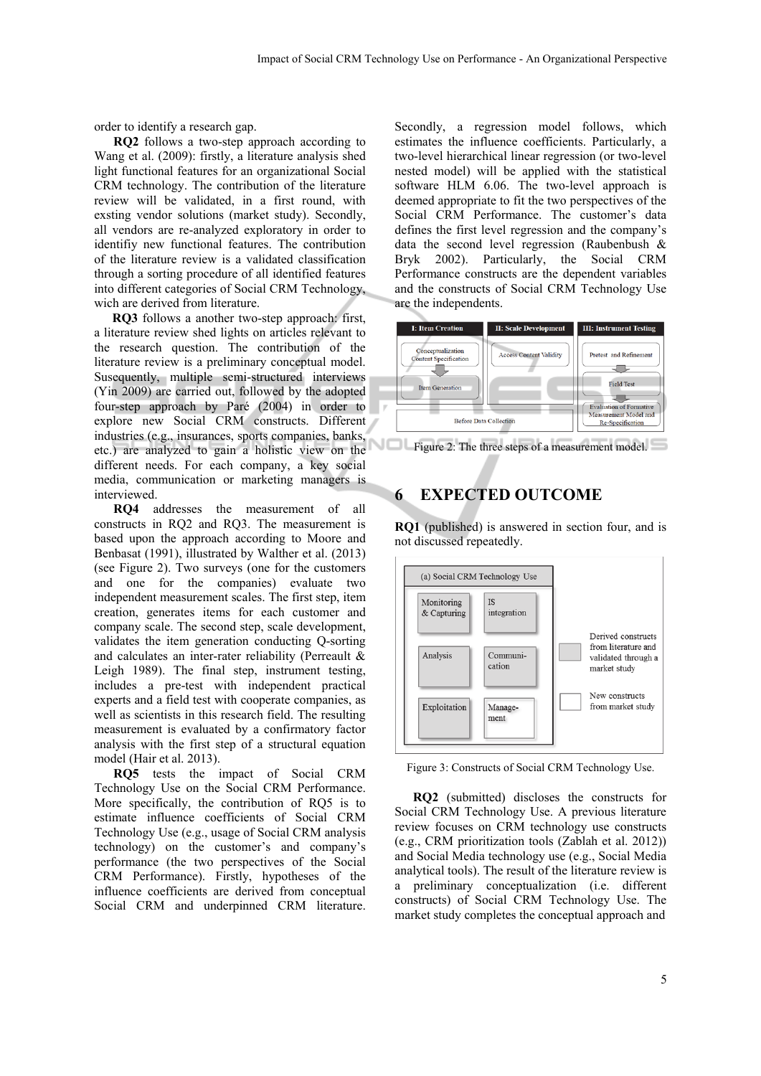order to identify a research gap.

**RQ2** follows a two-step approach according to Wang et al. (2009): firstly, a literature analysis shed light functional features for an organizational Social CRM technology. The contribution of the literature review will be validated, in a first round, with exsting vendor solutions (market study). Secondly, all vendors are re-analyzed exploratory in order to identifiy new functional features. The contribution of the literature review is a validated classification through a sorting procedure of all identified features into different categories of Social CRM Technology, wich are derived from literature.

**RQ3** follows a another two-step approach: first, a literature review shed lights on articles relevant to the research question. The contribution of the literature review is a preliminary conceptual model. Susequently, multiple semi-structured interviews (Yin 2009) are carried out, followed by the adopted four-step approach by Paré (2004) in order to explore new Social CRM constructs. Different industries (e.g., insurances, sports companies, banks, etc.) are analyzed to gain a holistic view on the different needs. For each company, a key social media, communication or marketing managers is interviewed.

**RQ4** addresses the measurement of all constructs in RQ2 and RQ3. The measurement is based upon the approach according to Moore and Benbasat (1991), illustrated by Walther et al. (2013) (see Figure 2). Two surveys (one for the customers and one for the companies) evaluate two independent measurement scales. The first step, item creation, generates items for each customer and company scale. The second step, scale development, validates the item generation conducting Q-sorting and calculates an inter-rater reliability (Perreault & Leigh 1989). The final step, instrument testing, includes a pre-test with independent practical experts and a field test with cooperate companies, as well as scientists in this research field. The resulting measurement is evaluated by a confirmatory factor analysis with the first step of a structural equation model (Hair et al. 2013).

**RQ5** tests the impact of Social CRM Technology Use on the Social CRM Performance. More specifically, the contribution of RQ5 is to estimate influence coefficients of Social CRM Technology Use (e.g., usage of Social CRM analysis technology) on the customer's and company's performance (the two perspectives of the Social CRM Performance). Firstly, hypotheses of the influence coefficients are derived from conceptual Social CRM and underpinned CRM literature.

Secondly, a regression model follows, which estimates the influence coefficients. Particularly, a two-level hierarchical linear regression (or two-level nested model) will be applied with the statistical software HLM 6.06. The two-level approach is deemed appropriate to fit the two perspectives of the Social CRM Performance. The customer's data defines the first level regression and the company's data the second level regression (Raubenbush & Bryk 2002). Particularly, the Social CRM Performance constructs are the dependent variables and the constructs of Social CRM Technology Use are the independents.



VOL Figure 2: The three steps of a measurement model.

#### **6 EXPECTED OUTCOME**

**RQ1** (published) is answered in section four, and is not discussed repeatedly.



Figure 3: Constructs of Social CRM Technology Use.

**RQ2** (submitted) discloses the constructs for Social CRM Technology Use. A previous literature review focuses on CRM technology use constructs (e.g., CRM prioritization tools (Zablah et al. 2012)) and Social Media technology use (e.g., Social Media analytical tools). The result of the literature review is a preliminary conceptualization (i.e. different constructs) of Social CRM Technology Use. The market study completes the conceptual approach and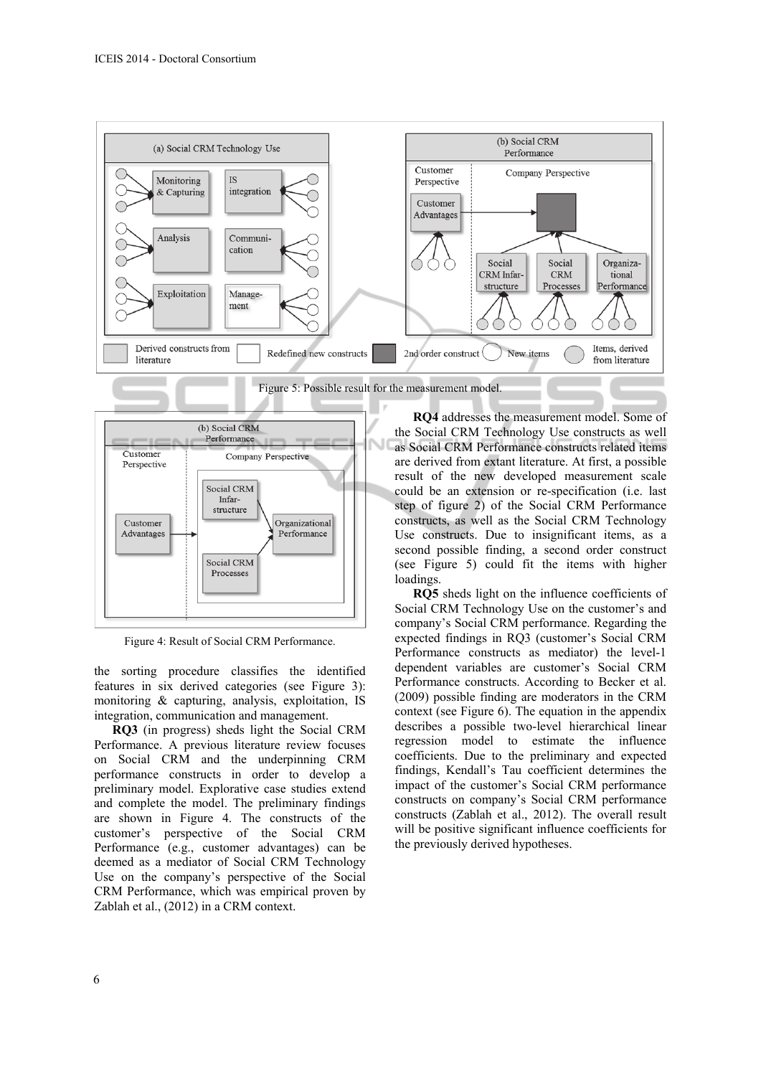



Figure 4: Result of Social CRM Performance.

the sorting procedure classifies the identified features in six derived categories (see Figure 3): monitoring & capturing, analysis, exploitation, IS integration, communication and management.

**RQ3** (in progress) sheds light the Social CRM Performance. A previous literature review focuses on Social CRM and the underpinning CRM performance constructs in order to develop a preliminary model. Explorative case studies extend and complete the model. The preliminary findings are shown in Figure 4. The constructs of the customer's perspective of the Social CRM Performance (e.g., customer advantages) can be deemed as a mediator of Social CRM Technology Use on the company's perspective of the Social CRM Performance, which was empirical proven by Zablah et al., (2012) in a CRM context.

**RQ4** addresses the measurement model. Some of the Social CRM Technology Use constructs as well as Social CRM Performance constructs related items are derived from extant literature. At first, a possible result of the new developed measurement scale could be an extension or re-specification (i.e. last step of figure 2) of the Social CRM Performance constructs, as well as the Social CRM Technology Use constructs. Due to insignificant items, as a second possible finding, a second order construct (see Figure 5) could fit the items with higher loadings.

**RQ5** sheds light on the influence coefficients of Social CRM Technology Use on the customer's and company's Social CRM performance. Regarding the expected findings in RQ3 (customer's Social CRM Performance constructs as mediator) the level-1 dependent variables are customer's Social CRM Performance constructs. According to Becker et al. (2009) possible finding are moderators in the CRM context (see Figure 6). The equation in the appendix describes a possible two-level hierarchical linear regression model to estimate the influence coefficients. Due to the preliminary and expected findings, Kendall's Tau coefficient determines the impact of the customer's Social CRM performance constructs on company's Social CRM performance constructs (Zablah et al., 2012). The overall result will be positive significant influence coefficients for the previously derived hypotheses.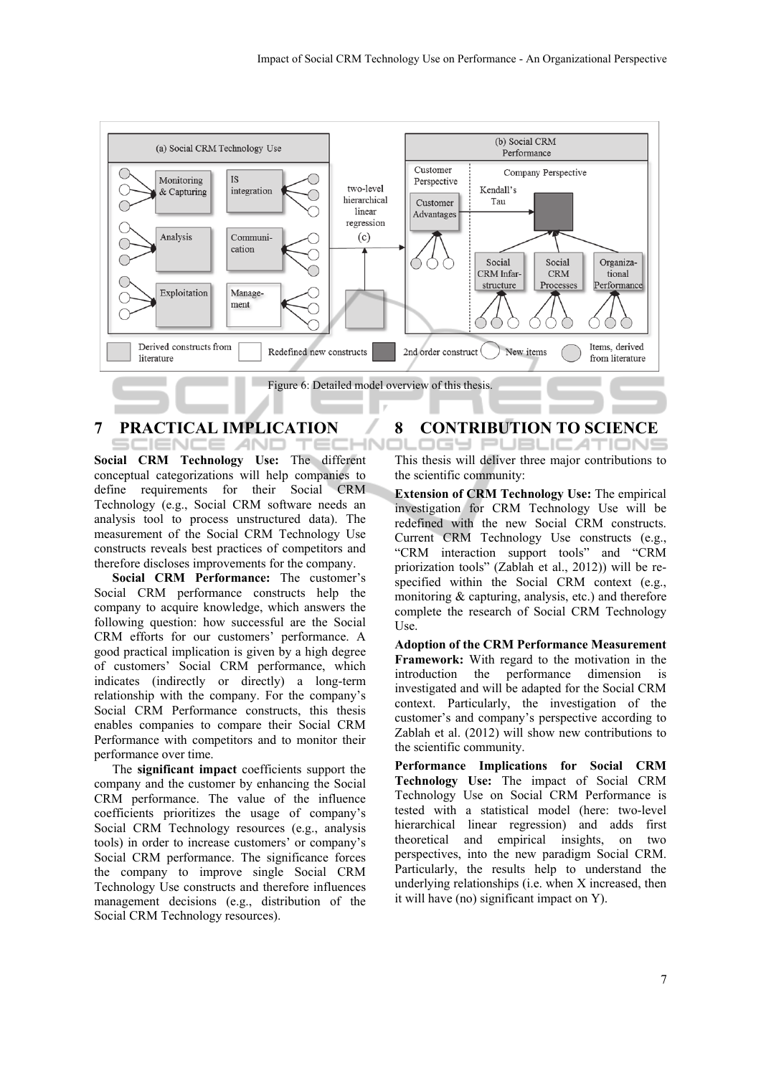

#### **7 PRACTICAL IMPLICATION**  SCIENCE *A*ND. TEC

**Social CRM Technology Use:** The different conceptual categorizations will help companies to define requirements for their Social CRM Technology (e.g., Social CRM software needs an analysis tool to process unstructured data). The measurement of the Social CRM Technology Use constructs reveals best practices of competitors and therefore discloses improvements for the company.

**Social CRM Performance:** The customer's Social CRM performance constructs help the company to acquire knowledge, which answers the following question: how successful are the Social CRM efforts for our customers' performance. A good practical implication is given by a high degree of customers' Social CRM performance, which indicates (indirectly or directly) a long-term relationship with the company. For the company's Social CRM Performance constructs, this thesis enables companies to compare their Social CRM Performance with competitors and to monitor their performance over time.

The **significant impact** coefficients support the company and the customer by enhancing the Social CRM performance. The value of the influence coefficients prioritizes the usage of company's Social CRM Technology resources (e.g., analysis tools) in order to increase customers' or company's Social CRM performance. The significance forces the company to improve single Social CRM Technology Use constructs and therefore influences management decisions (e.g., distribution of the Social CRM Technology resources).

# **8 CONTRIBUTION TO SCIENCE**

This thesis will deliver three major contributions to the scientific community:

**Extension of CRM Technology Use:** The empirical investigation for CRM Technology Use will be redefined with the new Social CRM constructs. Current CRM Technology Use constructs (e.g., "CRM interaction support tools" and "CRM priorization tools" (Zablah et al., 2012)) will be respecified within the Social CRM context (e.g., monitoring & capturing, analysis, etc.) and therefore complete the research of Social CRM Technology Use.

**Adoption of the CRM Performance Measurement Framework:** With regard to the motivation in the introduction the performance dimension is investigated and will be adapted for the Social CRM context. Particularly, the investigation of the customer's and company's perspective according to Zablah et al. (2012) will show new contributions to the scientific community.

**Performance Implications for Social CRM Technology Use:** The impact of Social CRM Technology Use on Social CRM Performance is tested with a statistical model (here: two-level hierarchical linear regression) and adds first theoretical and empirical insights, on two perspectives, into the new paradigm Social CRM. Particularly, the results help to understand the underlying relationships (i.e. when X increased, then it will have (no) significant impact on Y).